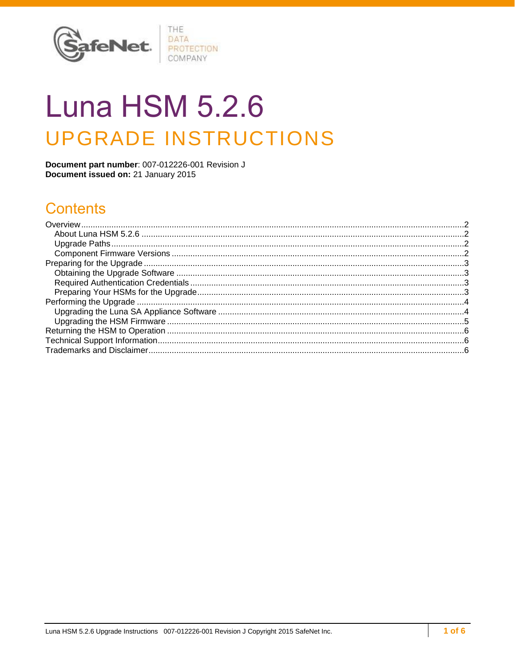

# **Luna HSM 5.2.6 UPGRADE INSTRUCTIONS**

Document part number: 007-012226-001 Revision J Document issued on: 21 January 2015

# **Contents**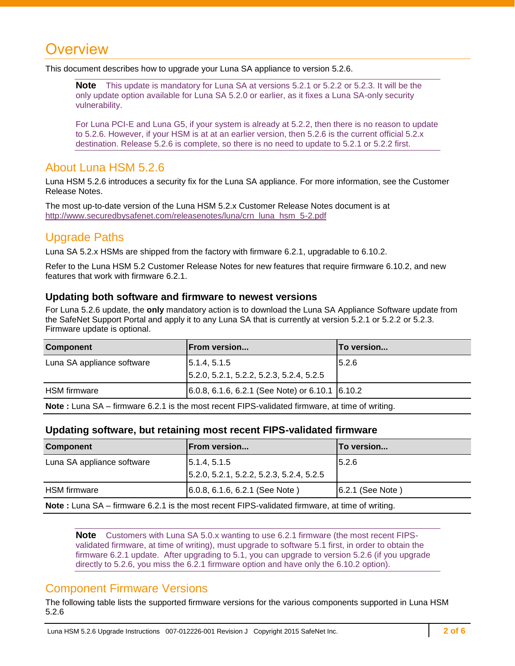# <span id="page-1-0"></span>Overview

This document describes how to upgrade your Luna SA appliance to version 5.2.6.

**Note** This update is mandatory for Luna SA at versions 5.2.1 or 5.2.2 or 5.2.3. It will be the only update option available for Luna SA 5.2.0 or earlier, as it fixes a Luna SA-only security vulnerability.

For Luna PCI-E and Luna G5, if your system is already at 5.2.2, then there is no reason to update to 5.2.6. However, if your HSM is at at an earlier version, then 5.2.6 is the current official 5.2.x destination. Release 5.2.6 is complete, so there is no need to update to 5.2.1 or 5.2.2 first.

## <span id="page-1-1"></span>About Luna HSM 5.2.6

Luna HSM 5.2.6 introduces a security fix for the Luna SA appliance. For more information, see the Customer Release Notes.

The most up-to-date version of the Luna HSM 5.2.x Customer Release Notes document is at [http://www.securedbysafenet.com/releasenotes/luna/crn\\_luna\\_hsm\\_5-2.pdf](http://www.securedbysafenet.com/releasenotes/luna/crn_luna_hsm_5-2.pdf)

## <span id="page-1-2"></span>Upgrade Paths

Luna SA 5.2.x HSMs are shipped from the factory with firmware 6.2.1, upgradable to 6.10.2.

Refer to the Luna HSM 5.2 Customer Release Notes for new features that require firmware 6.10.2, and new features that work with firmware 6.2.1.

#### **Updating both software and firmware to newest versions**

For Luna 5.2.6 update, the **only** mandatory action is to download the Luna SA Appliance Software update from the SafeNet Support Portal and apply it to any Luna SA that is currently at version 5.2.1 or 5.2.2 or 5.2.3. Firmware update is optional.

| <b>Component</b>                                                                               | <b>From version</b>                               | To version |  |  |
|------------------------------------------------------------------------------------------------|---------------------------------------------------|------------|--|--|
| Luna SA appliance software                                                                     | $\vert 5.1.4, 5.1.5 \vert$                        | 5.2.6      |  |  |
|                                                                                                | 5.2.0, 5.2.1, 5.2.2, 5.2.3, 5.2.4, 5.2.5          |            |  |  |
| <b>HSM</b> firmware                                                                            | $6.0.8, 6.1.6, 6.2.1$ (See Note) or 6.10.1 6.10.2 |            |  |  |
| Note: Luna SA – firmware 6.2.1 is the most recent FIPS-validated firmware, at time of writing. |                                                   |            |  |  |

#### **Updating software, but retaining most recent FIPS-validated firmware**

| <b>Component</b>                                                                                      | From version                                             | <b>To version</b> |  |  |
|-------------------------------------------------------------------------------------------------------|----------------------------------------------------------|-------------------|--|--|
| Luna SA appliance software                                                                            | 5.1.4, 5.1.5<br>5.2.0, 5.2.1, 5.2.2, 5.2.3, 5.2.4, 5.2.5 | 5.2.6             |  |  |
| HSM firmware                                                                                          | 6.0.8, 6.1.6, 6.2.1 (See Note)                           | 6.2.1 (See Note)  |  |  |
| <b>Note:</b> Luna SA – firmware 6.2.1 is the most recent FIPS-validated firmware, at time of writing. |                                                          |                   |  |  |

**Note** Customers with Luna SA 5.0.x wanting to use 6.2.1 firmware (the most recent FIPSvalidated firmware, at time of writing), must upgrade to software 5.1 first, in order to obtain the firmware 6.2.1 update. After upgrading to 5.1, you can upgrade to version 5.2.6 (if you upgrade directly to 5.2.6, you miss the 6.2.1 firmware option and have only the 6.10.2 option).

## <span id="page-1-3"></span>Component Firmware Versions

The following table lists the supported firmware versions for the various components supported in Luna HSM 5.2.6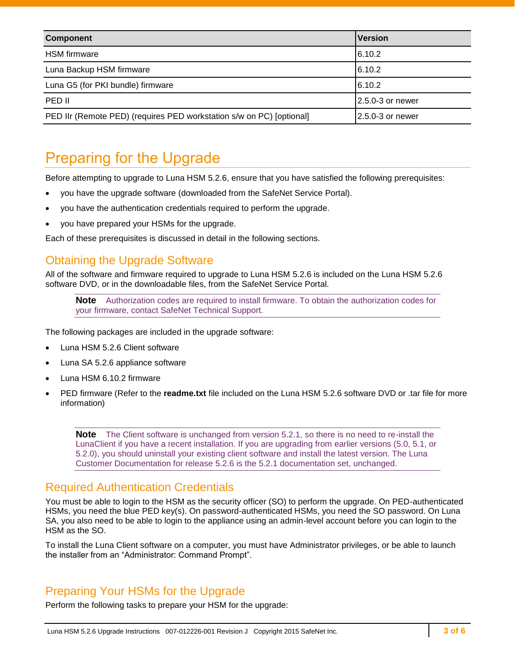| <b>Component</b>                                                     | <b>Version</b>       |
|----------------------------------------------------------------------|----------------------|
| <b>HSM</b> firmware                                                  | 6.10.2               |
| Luna Backup HSM firmware                                             | 6.10.2               |
| Luna G5 (for PKI bundle) firmware                                    | 6.10.2               |
| PED II                                                               | $2.5.0 - 3$ or newer |
| PED IIr (Remote PED) (requires PED workstation s/w on PC) [optional] | 12.5.0-3 or newer    |

# <span id="page-2-0"></span>Preparing for the Upgrade

Before attempting to upgrade to Luna HSM 5.2.6, ensure that you have satisfied the following prerequisites:

- you have the upgrade software (downloaded from the SafeNet Service Portal).
- you have the authentication credentials required to perform the upgrade.
- you have prepared your HSMs for the upgrade.

Each of these prerequisites is discussed in detail in the following sections.

## <span id="page-2-1"></span>Obtaining the Upgrade Software

All of the software and firmware required to upgrade to Luna HSM 5.2.6 is included on the Luna HSM 5.2.6 software DVD, or in the downloadable files, from the SafeNet Service Portal.

**Note** Authorization codes are required to install firmware. To obtain the authorization codes for your firmware, contact SafeNet Technical Support.

The following packages are included in the upgrade software:

- Luna HSM 5.2.6 Client software
- Luna SA 5.2.6 appliance software
- Luna HSM 6.10.2 firmware
- PED firmware (Refer to the **readme.txt** file included on the Luna HSM 5.2.6 software DVD or .tar file for more information)

**Note** The Client software is unchanged from version 5.2.1, so there is no need to re-install the LunaClient if you have a recent installation. If you are upgrading from earlier versions (5.0, 5.1, or 5.2.0), you should uninstall your existing client software and install the latest version. The Luna Customer Documentation for release 5.2.6 is the 5.2.1 documentation set, unchanged.

## <span id="page-2-2"></span>Required Authentication Credentials

You must be able to login to the HSM as the security officer (SO) to perform the upgrade. On PED-authenticated HSMs, you need the blue PED key(s). On password-authenticated HSMs, you need the SO password. On Luna SA, you also need to be able to login to the appliance using an admin-level account before you can login to the HSM as the SO.

To install the Luna Client software on a computer, you must have Administrator privileges, or be able to launch the installer from an "Administrator: Command Prompt".

## <span id="page-2-3"></span>Preparing Your HSMs for the Upgrade

Perform the following tasks to prepare your HSM for the upgrade: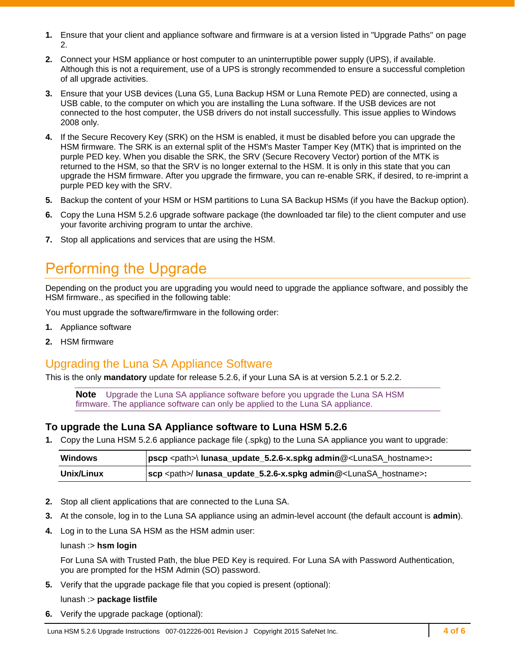- **1.** Ensure that your client and appliance software and firmware is at a version listed in "Upgrade Paths" on page [2.](#page-1-2)
- **2.** Connect your HSM appliance or host computer to an uninterruptible power supply (UPS), if available. Although this is not a requirement, use of a UPS is strongly recommended to ensure a successful completion of all upgrade activities.
- **3.** Ensure that your USB devices (Luna G5, Luna Backup HSM or Luna Remote PED) are connected, using a USB cable, to the computer on which you are installing the Luna software. If the USB devices are not connected to the host computer, the USB drivers do not install successfully. This issue applies to Windows 2008 only.
- **4.** If the Secure Recovery Key (SRK) on the HSM is enabled, it must be disabled before you can upgrade the HSM firmware. The SRK is an external split of the HSM's Master Tamper Key (MTK) that is imprinted on the purple PED key. When you disable the SRK, the SRV (Secure Recovery Vector) portion of the MTK is returned to the HSM, so that the SRV is no longer external to the HSM. It is only in this state that you can upgrade the HSM firmware. After you upgrade the firmware, you can re-enable SRK, if desired, to re-imprint a purple PED key with the SRV.
- **5.** Backup the content of your HSM or HSM partitions to Luna SA Backup HSMs (if you have the Backup option).
- **6.** Copy the Luna HSM 5.2.6 upgrade software package (the downloaded tar file) to the client computer and use your favorite archiving program to untar the archive.
- **7.** Stop all applications and services that are using the HSM.

# <span id="page-3-0"></span>Performing the Upgrade

Depending on the product you are upgrading you would need to upgrade the appliance software, and possibly the HSM firmware., as specified in the following table:

You must upgrade the software/firmware in the following order:

- **1.** Appliance software
- **2.** HSM firmware

## <span id="page-3-1"></span>Upgrading the Luna SA Appliance Software

This is the only **mandatory** update for release 5.2.6, if your Luna SA is at version 5.2.1 or 5.2.2.

**Note** Upgrade the Luna SA appliance software before you upgrade the Luna SA HSM firmware. The appliance software can only be applied to the Luna SA appliance.

#### **To upgrade the Luna SA Appliance software to Luna HSM 5.2.6**

**1.** Copy the Luna HSM 5.2.6 appliance package file (.spkg) to the Luna SA appliance you want to upgrade:

| <b>Windows</b> | pscp <path>\ lunasa_update_5.2.6-x.spkg admin@<lunasa_hostname>:</lunasa_hostname></path> |
|----------------|-------------------------------------------------------------------------------------------|
| Unix/Linux     | scp <path>/ lunasa_update_5.2.6-x.spkg admin@<lunasa_hostname>:</lunasa_hostname></path>  |

- **2.** Stop all client applications that are connected to the Luna SA.
- **3.** At the console, log in to the Luna SA appliance using an admin-level account (the default account is **admin**).
- **4.** Log in to the Luna SA HSM as the HSM admin user:

#### lunash :> **hsm login**

For Luna SA with Trusted Path, the blue PED Key is required. For Luna SA with Password Authentication, you are prompted for the HSM Admin (SO) password.

**5.** Verify that the upgrade package file that you copied is present (optional):

#### lunash :> **package listfile**

**6.** Verify the upgrade package (optional):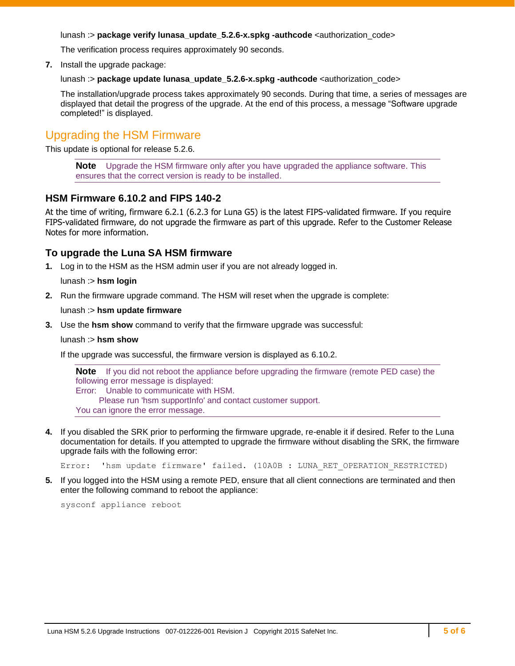lunash :> **package verify lunasa\_update\_5.2.6-x.spkg -authcode** <authorization\_code>

The verification process requires approximately 90 seconds.

**7.** Install the upgrade package:

lunash :> **package update lunasa\_update\_5.2.6-x.spkg -authcode** <authorization\_code>

The installation/upgrade process takes approximately 90 seconds. During that time, a series of messages are displayed that detail the progress of the upgrade. At the end of this process, a message "Software upgrade completed!" is displayed.

## <span id="page-4-0"></span>Upgrading the HSM Firmware

This update is optional for release 5.2.6.

**Note** Upgrade the HSM firmware only after you have upgraded the appliance software. This ensures that the correct version is ready to be installed.

#### **HSM Firmware 6.10.2 and FIPS 140-2**

At the time of writing, firmware 6.2.1 (6.2.3 for Luna G5) is the latest FIPS-validated firmware. If you require FIPS-validated firmware, do not upgrade the firmware as part of this upgrade. Refer to the Customer Release Notes for more information.

#### **To upgrade the Luna SA HSM firmware**

**1.** Log in to the HSM as the HSM admin user if you are not already logged in.

lunash :> **hsm login**

**2.** Run the firmware upgrade command. The HSM will reset when the upgrade is complete:

lunash :> **hsm update firmware**

**3.** Use the **hsm show** command to verify that the firmware upgrade was successful:

lunash :> **hsm show**

If the upgrade was successful, the firmware version is displayed as 6.10.2.

**Note** If you did not reboot the appliance before upgrading the firmware (remote PED case) the following error message is displayed: Error: Unable to communicate with HSM. Please run 'hsm supportInfo' and contact customer support. You can ignore the error message.

**4.** If you disabled the SRK prior to performing the firmware upgrade, re-enable it if desired. Refer to the Luna documentation for details. If you attempted to upgrade the firmware without disabling the SRK, the firmware upgrade fails with the following error:

Error: 'hsm update firmware' failed. (10A0B : LUNA RET OPERATION RESTRICTED)

**5.** If you logged into the HSM using a remote PED, ensure that all client connections are terminated and then enter the following command to reboot the appliance:

sysconf appliance reboot